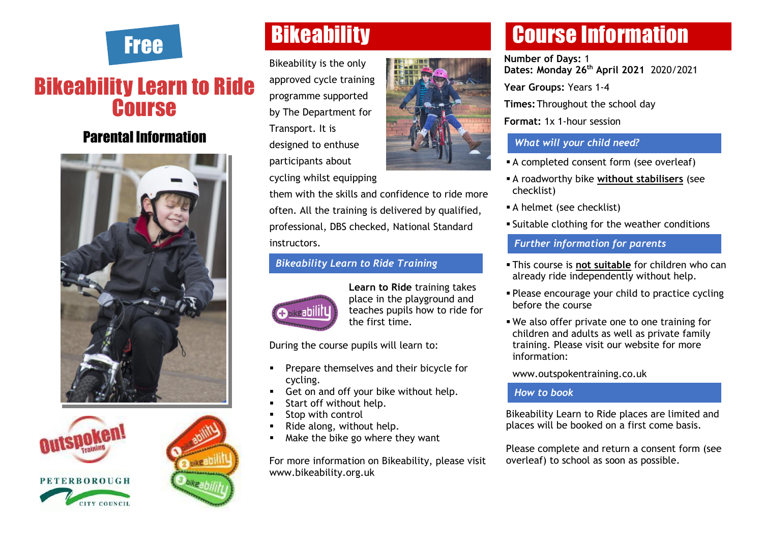

### Bikeability Learn to Ride **Course**

### Parental Information







# Free Bikeability

Bikeability is the only approved cycle training programme supported by The Department for Transport. It is designed to enthuse participants about cycling whilst equipping



them with the skills and confidence to ride more often. All the training is delivered by qualified, professional, DBS checked, National Standard instructors.

#### *Bikeability Learn to Ride Training*



**Learn to Ride** training takes place in the playground and teaches pupils how to ride for the first time.

During the course pupils will learn to:

- Prepare themselves and their bicycle for cycling.
- Get on and off your bike without help.
- Start off without help.
- Stop with control
- Ride along, without help.
- Make the bike go where they want

For more information on Bikeability, please visit www.bikeability.org.uk

## Course Information

**Number of Days:** 1 **Dates: Monday 26th April 2021** 2020/2021 **Year Groups:** Years 1-4

**Times:**Throughout the school day

**Format:** 1x 1-hour session

### *What will your child need?*

- A completed consent form (see overleaf)
- A roadworthy bike **without stabilisers** (see checklist)
- **A** helmet (see checklist)
- Suitable clothing for the weather conditions

#### *Further information for parents*

- This course is **not suitable** for children who can already ride independently without help.
- Please encourage your child to practice cycling before the course
- We also offer private one to one training for children and adults as well as private family training. Please visit our website for more information:

www.outspokentraining.co.uk

#### *How to book*

Bikeability Learn to Ride places are limited and places will be booked on a first come basis.

Please complete and return a consent form (see overleaf) to school as soon as possible.